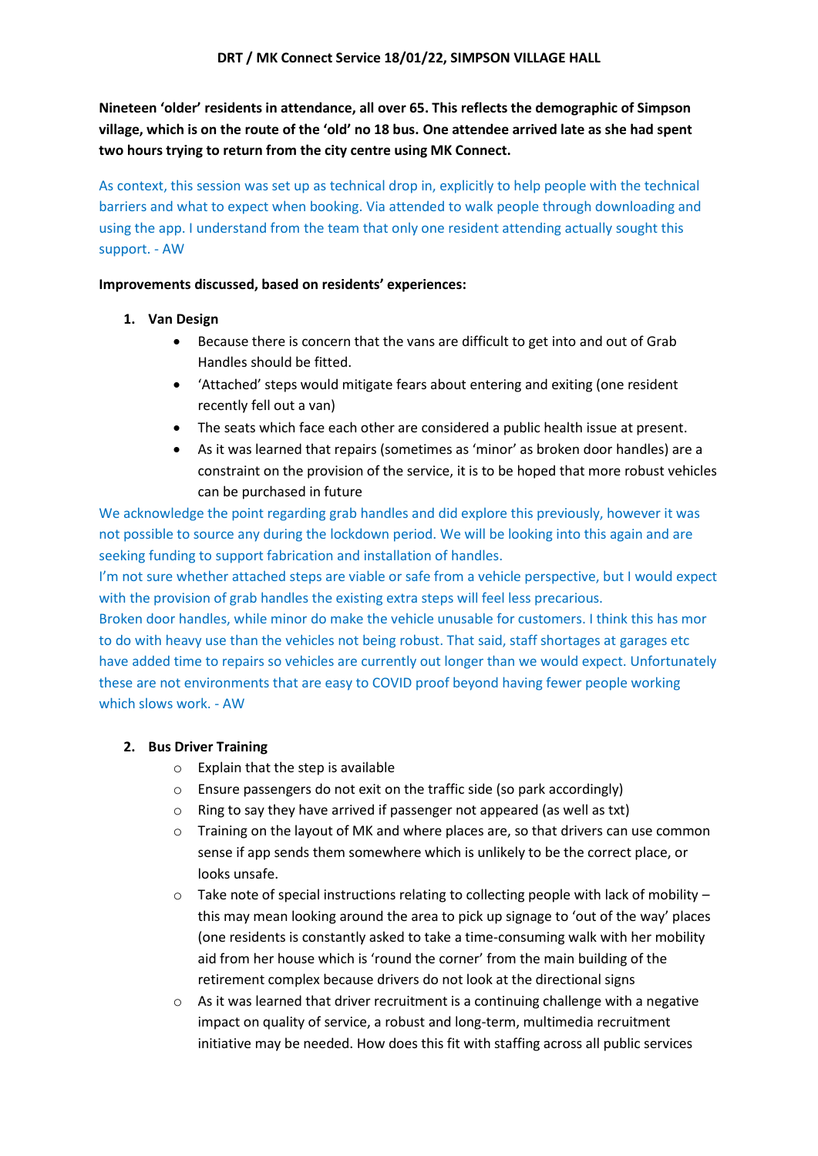**Nineteen 'older' residents in attendance, all over 65. This reflects the demographic of Simpson village, which is on the route of the 'old' no 18 bus. One attendee arrived late as she had spent two hours trying to return from the city centre using MK Connect.** 

As context, this session was set up as technical drop in, explicitly to help people with the technical barriers and what to expect when booking. Via attended to walk people through downloading and using the app. I understand from the team that only one resident attending actually sought this support. - AW

### **Improvements discussed, based on residents' experiences:**

- **1. Van Design**
	- Because there is concern that the vans are difficult to get into and out of Grab Handles should be fitted.
	- 'Attached' steps would mitigate fears about entering and exiting (one resident recently fell out a van)
	- The seats which face each other are considered a public health issue at present.
	- As it was learned that repairs (sometimes as 'minor' as broken door handles) are a constraint on the provision of the service, it is to be hoped that more robust vehicles can be purchased in future

We acknowledge the point regarding grab handles and did explore this previously, however it was not possible to source any during the lockdown period. We will be looking into this again and are seeking funding to support fabrication and installation of handles.

I'm not sure whether attached steps are viable or safe from a vehicle perspective, but I would expect with the provision of grab handles the existing extra steps will feel less precarious.

Broken door handles, while minor do make the vehicle unusable for customers. I think this has mor to do with heavy use than the vehicles not being robust. That said, staff shortages at garages etc have added time to repairs so vehicles are currently out longer than we would expect. Unfortunately these are not environments that are easy to COVID proof beyond having fewer people working which slows work. - AW

# **2. Bus Driver Training**

- o Explain that the step is available
- o Ensure passengers do not exit on the traffic side (so park accordingly)
- o Ring to say they have arrived if passenger not appeared (as well as txt)
- $\circ$  Training on the layout of MK and where places are, so that drivers can use common sense if app sends them somewhere which is unlikely to be the correct place, or looks unsafe.
- $\circ$  Take note of special instructions relating to collecting people with lack of mobility this may mean looking around the area to pick up signage to 'out of the way' places (one residents is constantly asked to take a time-consuming walk with her mobility aid from her house which is 'round the corner' from the main building of the retirement complex because drivers do not look at the directional signs
- $\circ$  As it was learned that driver recruitment is a continuing challenge with a negative impact on quality of service, a robust and long-term, multimedia recruitment initiative may be needed. How does this fit with staffing across all public services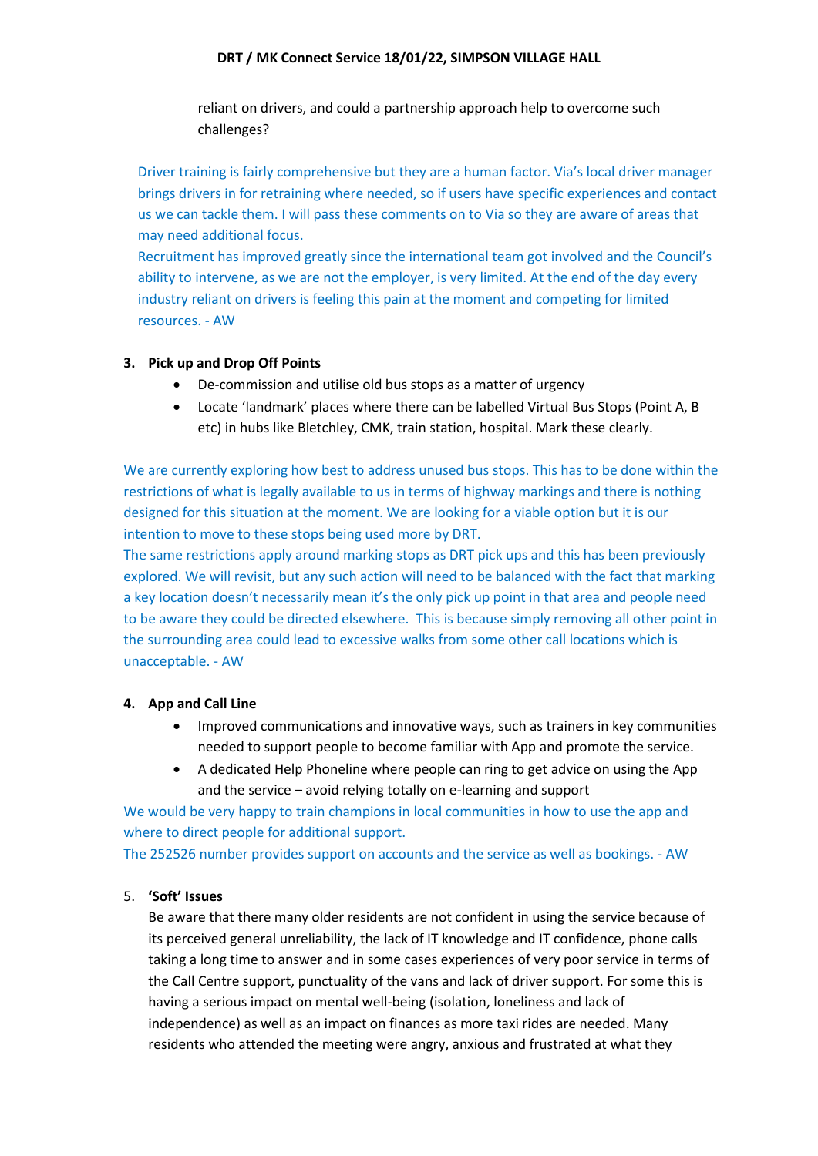#### **DRT / MK Connect Service 18/01/22, SIMPSON VILLAGE HALL**

reliant on drivers, and could a partnership approach help to overcome such challenges?

Driver training is fairly comprehensive but they are a human factor. Via's local driver manager brings drivers in for retraining where needed, so if users have specific experiences and contact us we can tackle them. I will pass these comments on to Via so they are aware of areas that may need additional focus.

Recruitment has improved greatly since the international team got involved and the Council's ability to intervene, as we are not the employer, is very limited. At the end of the day every industry reliant on drivers is feeling this pain at the moment and competing for limited resources. - AW

### **3. Pick up and Drop Off Points**

- De-commission and utilise old bus stops as a matter of urgency
- Locate 'landmark' places where there can be labelled Virtual Bus Stops (Point A, B etc) in hubs like Bletchley, CMK, train station, hospital. Mark these clearly.

We are currently exploring how best to address unused bus stops. This has to be done within the restrictions of what is legally available to us in terms of highway markings and there is nothing designed for this situation at the moment. We are looking for a viable option but it is our intention to move to these stops being used more by DRT.

The same restrictions apply around marking stops as DRT pick ups and this has been previously explored. We will revisit, but any such action will need to be balanced with the fact that marking a key location doesn't necessarily mean it's the only pick up point in that area and people need to be aware they could be directed elsewhere. This is because simply removing all other point in the surrounding area could lead to excessive walks from some other call locations which is unacceptable. - AW

# **4. App and Call Line**

- Improved communications and innovative ways, such as trainers in key communities needed to support people to become familiar with App and promote the service.
- A dedicated Help Phoneline where people can ring to get advice on using the App and the service – avoid relying totally on e-learning and support

We would be very happy to train champions in local communities in how to use the app and where to direct people for additional support.

The 252526 number provides support on accounts and the service as well as bookings. - AW

# 5. **'Soft' Issues**

Be aware that there many older residents are not confident in using the service because of its perceived general unreliability, the lack of IT knowledge and IT confidence, phone calls taking a long time to answer and in some cases experiences of very poor service in terms of the Call Centre support, punctuality of the vans and lack of driver support. For some this is having a serious impact on mental well-being (isolation, loneliness and lack of independence) as well as an impact on finances as more taxi rides are needed. Many residents who attended the meeting were angry, anxious and frustrated at what they